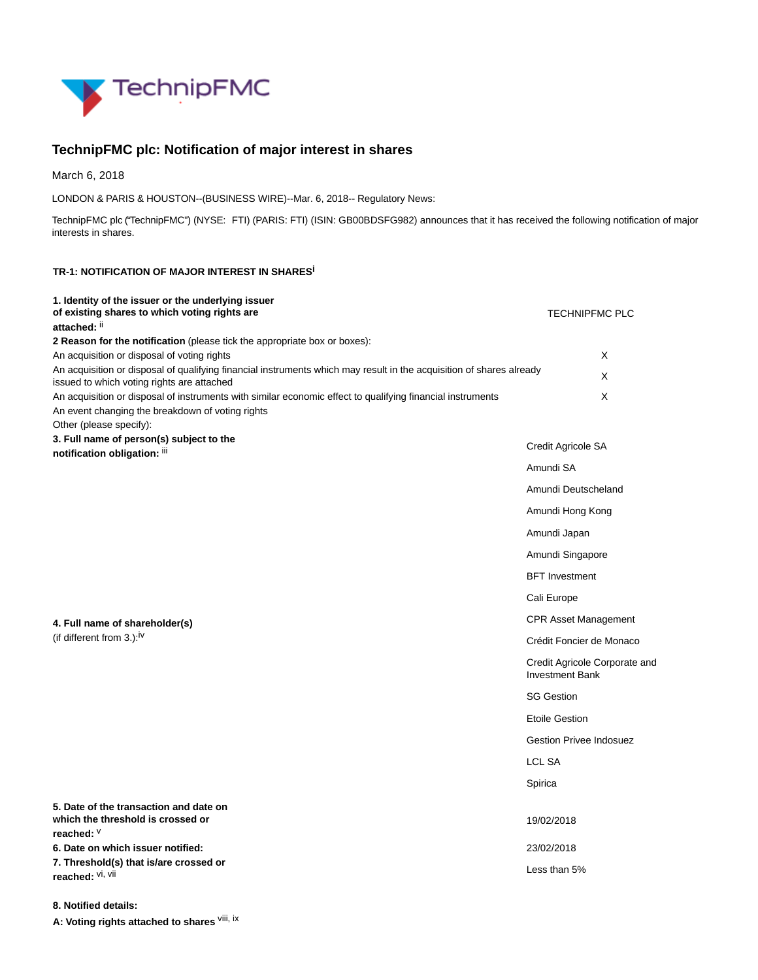

## **TechnipFMC plc: Notification of major interest in shares**

March 6, 2018

LONDON & PARIS & HOUSTON--(BUSINESS WIRE)--Mar. 6, 2018-- Regulatory News:

TechnipFMC plc ("TechnipFMC") (NYSE: FTI) (PARIS: FTI) (ISIN: GB00BDSFG982) announces that it has received the following notification of major interests in shares.

## **TR-1: NOTIFICATION OF MAJOR INTEREST IN SHARESi**

| 1. Identity of the issuer or the underlying issuer<br>of existing shares to which voting rights are<br>attached: II                                                | <b>TECHNIPFMC PLC</b>                                   |
|--------------------------------------------------------------------------------------------------------------------------------------------------------------------|---------------------------------------------------------|
| 2 Reason for the notification (please tick the appropriate box or boxes):                                                                                          |                                                         |
| An acquisition or disposal of voting rights                                                                                                                        | X                                                       |
| An acquisition or disposal of qualifying financial instruments which may result in the acquisition of shares already<br>issued to which voting rights are attached | X                                                       |
| An acquisition or disposal of instruments with similar economic effect to qualifying financial instruments<br>An event changing the breakdown of voting rights     | X                                                       |
| Other (please specify):                                                                                                                                            |                                                         |
| 3. Full name of person(s) subject to the<br>notification obligation: iii                                                                                           | Credit Agricole SA                                      |
|                                                                                                                                                                    | Amundi SA                                               |
|                                                                                                                                                                    | Amundi Deutscheland                                     |
|                                                                                                                                                                    | Amundi Hong Kong                                        |
|                                                                                                                                                                    | Amundi Japan                                            |
|                                                                                                                                                                    | Amundi Singapore                                        |
|                                                                                                                                                                    | <b>BFT</b> Investment                                   |
|                                                                                                                                                                    | Cali Europe                                             |
| 4. Full name of shareholder(s)                                                                                                                                     | <b>CPR Asset Management</b>                             |
| (if different from 3.): <sup>iv</sup>                                                                                                                              | Crédit Foncier de Monaco                                |
|                                                                                                                                                                    | Credit Agricole Corporate and<br><b>Investment Bank</b> |
|                                                                                                                                                                    | <b>SG Gestion</b>                                       |
|                                                                                                                                                                    | <b>Etoile Gestion</b>                                   |
|                                                                                                                                                                    | <b>Gestion Privee Indosuez</b>                          |
|                                                                                                                                                                    | <b>LCL SA</b>                                           |
|                                                                                                                                                                    | Spirica                                                 |
| 5. Date of the transaction and date on<br>which the threshold is crossed or<br>reached: V                                                                          | 19/02/2018                                              |
| 6. Date on which issuer notified:                                                                                                                                  | 23/02/2018                                              |
| 7. Threshold(s) that is/are crossed or<br>reached: Vi, Vii                                                                                                         | Less than 5%                                            |

**8. Notified details:**

**A: Voting rights attached to shares** viii, ix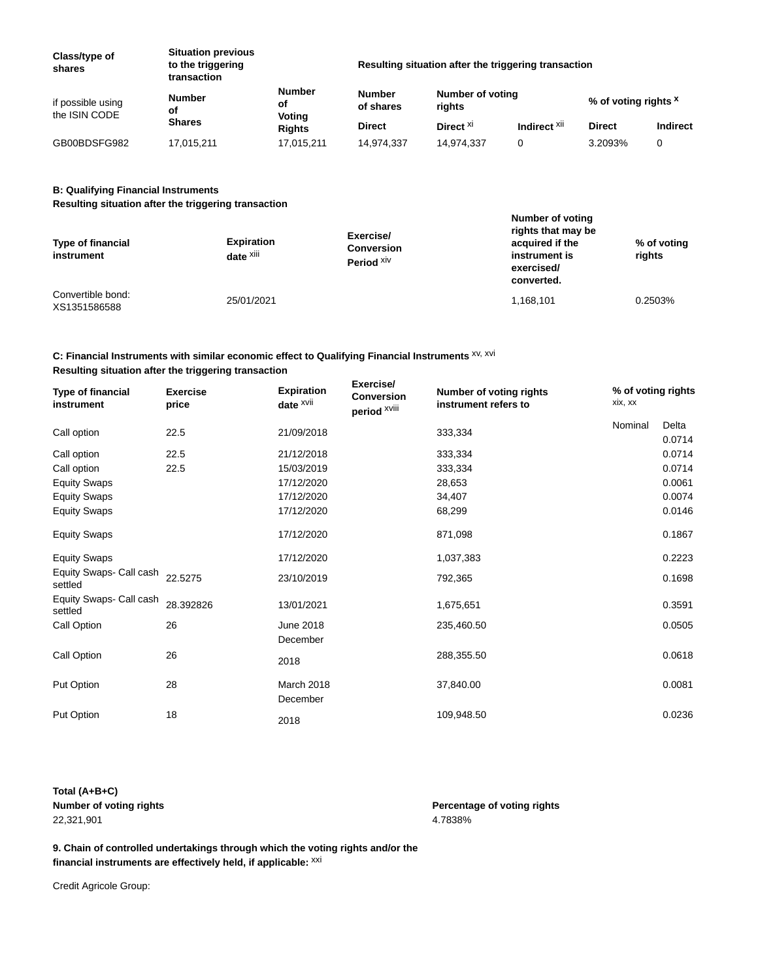| Class/type of<br>shares            | <b>Situation previous</b><br>to the triggering<br>transaction | Resulting situation after the triggering transaction |                            |                            |                         |                                 |          |
|------------------------------------|---------------------------------------------------------------|------------------------------------------------------|----------------------------|----------------------------|-------------------------|---------------------------------|----------|
| if possible using<br>the ISIN CODE | Number<br>οf<br><b>Shares</b>                                 | <b>Number</b><br>οf<br>Voting<br><b>Rights</b>       | <b>Number</b><br>of shares | Number of voting<br>riahts |                         | % of voting rights <sup>x</sup> |          |
|                                    |                                                               |                                                      | <b>Direct</b>              | Direct <sup>XI</sup>       | Indirect <sup>Xii</sup> | <b>Direct</b>                   | Indirect |
| GB00BDSFG982                       | 17,015,211                                                    | 17,015,211                                           | 14.974.337                 | 14,974,337                 |                         | 3.2093%                         |          |

## **B: Qualifying Financial Instruments**

**Resulting situation after the triggering transaction**

| <b>Type of financial</b><br>instrument | <b>Expiration</b><br>date <sup>xiii</sup> | Exercise/<br><b>Conversion</b><br>Period XIV | Number of voting<br>rights that may be<br>acquired if the<br>instrument is<br>exercised/<br>converted. | % of voting<br>rights |
|----------------------------------------|-------------------------------------------|----------------------------------------------|--------------------------------------------------------------------------------------------------------|-----------------------|
| Convertible bond:<br>XS1351586588      | 25/01/2021                                |                                              | 1,168,101                                                                                              | 0.2503%               |

## **C: Financial Instruments with similar economic effect to Qualifying Financial Instruments** xv, xvi **Resulting situation after the triggering transaction**

| <b>Type of financial</b><br>instrument | <b>Exercise</b><br>price | <b>Expiration</b><br>date XVii | Exercise/<br><b>Conversion</b><br>period XVIII | Number of voting rights<br>instrument refers to | % of voting rights<br>xix, xx |                 |
|----------------------------------------|--------------------------|--------------------------------|------------------------------------------------|-------------------------------------------------|-------------------------------|-----------------|
| Call option                            | 22.5                     | 21/09/2018                     |                                                | 333,334                                         | Nominal                       | Delta<br>0.0714 |
| Call option                            | 22.5                     | 21/12/2018                     |                                                | 333,334                                         |                               | 0.0714          |
| Call option                            | 22.5                     | 15/03/2019                     |                                                | 333,334                                         |                               | 0.0714          |
| <b>Equity Swaps</b>                    |                          | 17/12/2020                     |                                                | 28,653                                          |                               | 0.0061          |
| <b>Equity Swaps</b>                    |                          | 17/12/2020                     |                                                | 34,407                                          |                               | 0.0074          |
| <b>Equity Swaps</b>                    |                          | 17/12/2020                     |                                                | 68,299                                          |                               | 0.0146          |
| <b>Equity Swaps</b>                    |                          | 17/12/2020                     |                                                | 871,098                                         |                               | 0.1867          |
| <b>Equity Swaps</b>                    |                          | 17/12/2020                     |                                                | 1,037,383                                       |                               | 0.2223          |
| Equity Swaps- Call cash<br>settled     | 22.5275                  | 23/10/2019                     |                                                | 792,365                                         |                               | 0.1698          |
| Equity Swaps- Call cash<br>settled     | 28.392826                | 13/01/2021                     |                                                | 1,675,651                                       |                               | 0.3591          |
| Call Option                            | 26                       | <b>June 2018</b><br>December   |                                                | 235,460.50                                      |                               | 0.0505          |
| Call Option                            | 26                       | 2018                           |                                                | 288,355.50                                      |                               | 0.0618          |
| Put Option                             | 28                       | March 2018<br>December         |                                                | 37,840.00                                       |                               | 0.0081          |
| Put Option                             | 18                       | 2018                           |                                                | 109,948.50                                      |                               | 0.0236          |

**Total (A+B+C) Number of voting rights Percentage of voting rights** 22,321,901 4.7838%

**9. Chain of controlled undertakings through which the voting rights and/or the financial instruments are effectively held, if applicable:** xxi

Credit Agricole Group: